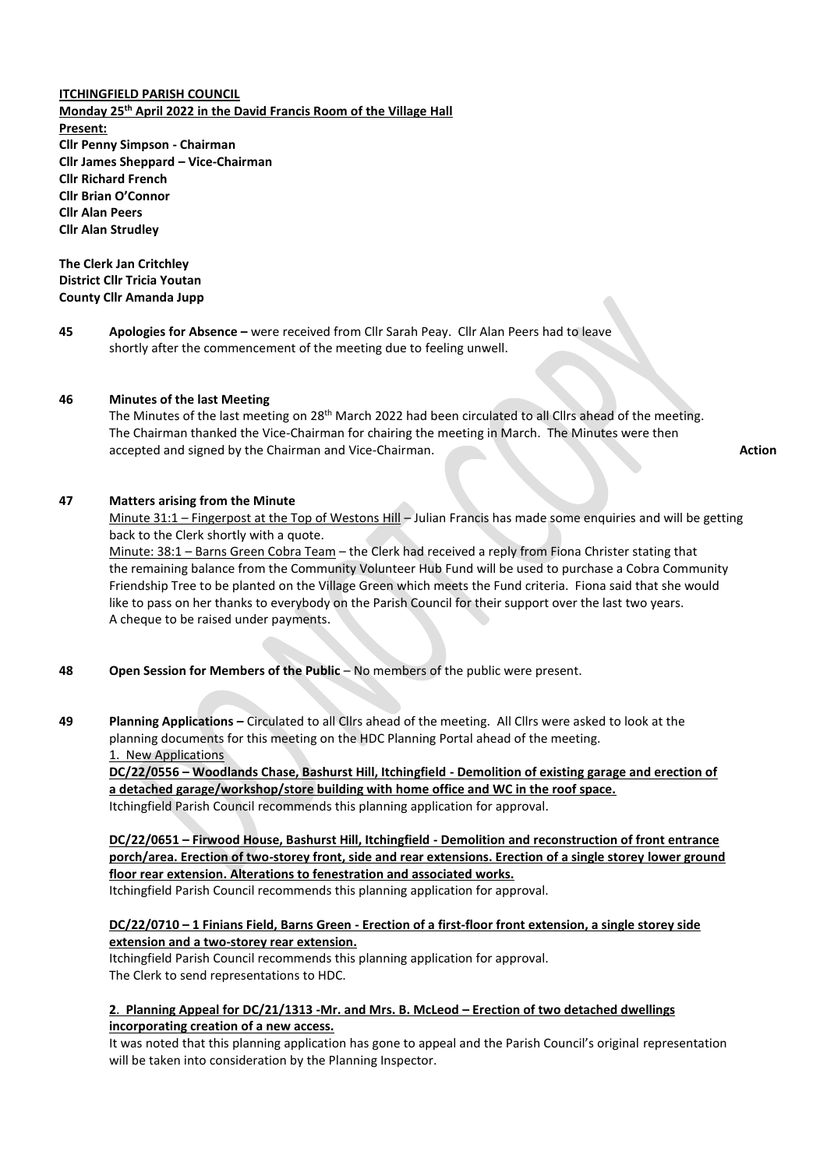**ITCHINGFIELD PARISH COUNCIL Monday 25 th April 2022 in the David Francis Room of the Village Hall Present: Cllr Penny Simpson - Chairman Cllr James Sheppard – Vice-Chairman Cllr Richard French Cllr Brian O'Connor Cllr Alan Peers Cllr Alan Strudley**

**The Clerk Jan Critchley District Cllr Tricia Youtan County Cllr Amanda Jupp**

**45 Apologies for Absence –** were received from Cllr Sarah Peay. Cllr Alan Peers had to leave shortly after the commencement of the meeting due to feeling unwell.

#### **46 Minutes of the last Meeting**

The Minutes of the last meeting on 28<sup>th</sup> March 2022 had been circulated to all Cllrs ahead of the meeting. The Chairman thanked the Vice-Chairman for chairing the meeting in March. The Minutes were then accepted and signed by the Chairman and Vice-Chairman. **Action** 

#### **47 Matters arising from the Minute**

Minute 31:1 – Fingerpost at the Top of Westons Hill – Julian Francis has made some enquiries and will be getting back to the Clerk shortly with a quote.

Minute: 38:1 – Barns Green Cobra Team – the Clerk had received a reply from Fiona Christer stating that the remaining balance from the Community Volunteer Hub Fund will be used to purchase a Cobra Community Friendship Tree to be planted on the Village Green which meets the Fund criteria. Fiona said that she would like to pass on her thanks to everybody on the Parish Council for their support over the last two years. A cheque to be raised under payments.

**48 Open Session for Members of the Public** – No members of the public were present.

**49 Planning Applications –** Circulated to all Cllrs ahead of the meeting. All Cllrs were asked to look at the planning documents for this meeting on the HDC Planning Portal ahead of the meeting. 1. New Applications

**DC/22/0556 – Woodlands Chase, Bashurst Hill, Itchingfield - Demolition of existing garage and erection of a detached garage/workshop/store building with home office and WC in the roof space.**

Itchingfield Parish Council recommends this planning application for approval.

**DC/22/0651 – Firwood House, Bashurst Hill, Itchingfield - Demolition and reconstruction of front entrance porch/area. Erection of two-storey front, side and rear extensions. Erection of a single storey lower ground floor rear extension. Alterations to fenestration and associated works.**

Itchingfield Parish Council recommends this planning application for approval.

### **DC/22/0710 – 1 Finians Field, Barns Green - Erection of a first-floor front extension, a single storey side extension and a two-storey rear extension.**

Itchingfield Parish Council recommends this planning application for approval. The Clerk to send representations to HDC.

### 2. Planning Appeal for DC/21/1313 -Mr. and Mrs. B. McLeod – Erection of two detached dwellings **incorporating creation of a new access.**

It was noted that this planning application has gone to appeal and the Parish Council's original representation will be taken into consideration by the Planning Inspector.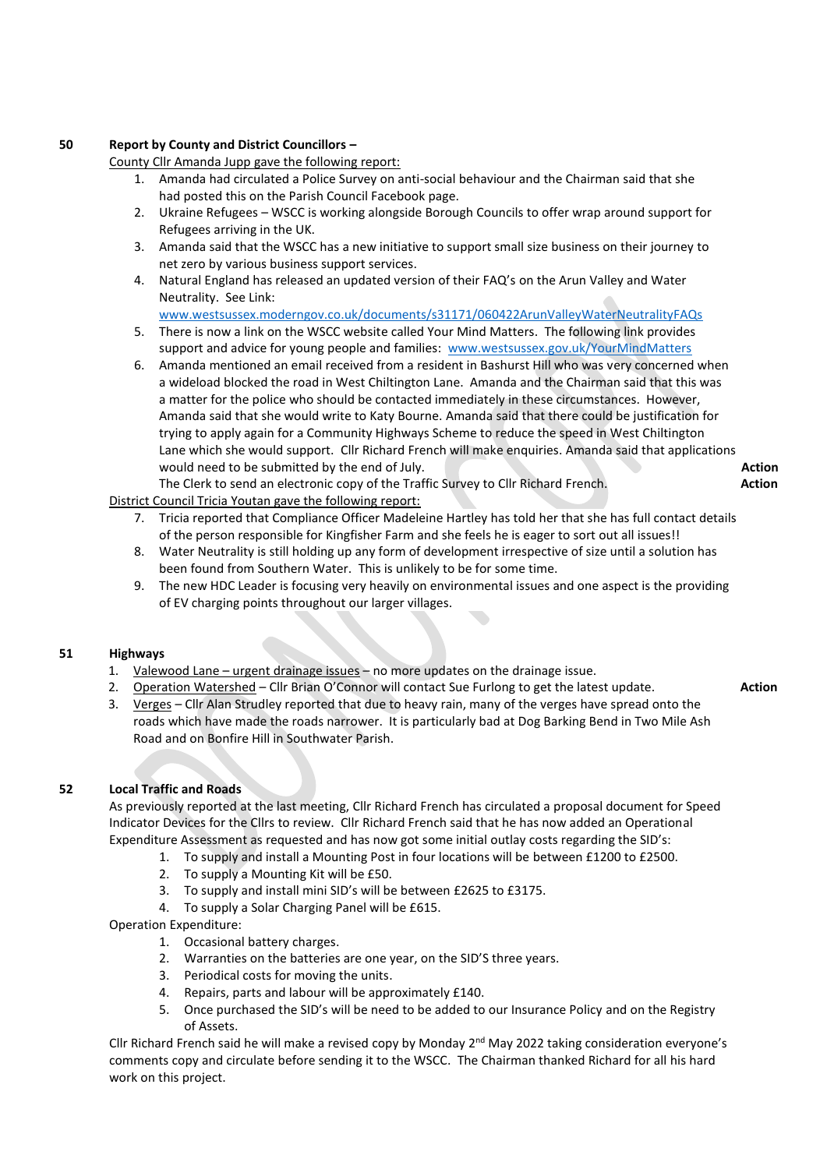# **50 Report by County and District Councillors –**

County Cllr Amanda Jupp gave the following report:

- 1. Amanda had circulated a Police Survey on anti-social behaviour and the Chairman said that she had posted this on the Parish Council Facebook page.
- 2. Ukraine Refugees WSCC is working alongside Borough Councils to offer wrap around support for Refugees arriving in the UK.
- 3. Amanda said that the WSCC has a new initiative to support small size business on their journey to net zero by various business support services.
- 4. Natural England has released an updated version of their FAQ's on the Arun Valley and Water Neutrality. See Link:

[www.westsussex.moderngov.co.uk/documents/s31171/060422ArunValleyWaterNeutralityFAQs](http://www.westsussex.moderngov.co.uk/documents/s31171/060422ArunValleyWaterNeutralityFAQs)

- 5. There is now a link on the WSCC website called Your Mind Matters. The following link provides support and advice for young people and families: [www.westsussex.gov.uk/YourMindMatters](http://www.westsussex.gov.uk/YourMindMatters)
- 6. Amanda mentioned an email received from a resident in Bashurst Hill who was very concerned when a wideload blocked the road in West Chiltington Lane. Amanda and the Chairman said that this was a matter for the police who should be contacted immediately in these circumstances. However, Amanda said that she would write to Katy Bourne. Amanda said that there could be justification for trying to apply again for a Community Highways Scheme to reduce the speed in West Chiltington Lane which she would support. Cllr Richard French will make enquiries. Amanda said that applications would need to be submitted by the end of July. **Action Action Action Action**

The Clerk to send an electronic copy of the Traffic Survey to Cllr Richard French. **Action** District Council Tricia Youtan gave the following report:

- 7. Tricia reported that Compliance Officer Madeleine Hartley has told her that she has full contact details of the person responsible for Kingfisher Farm and she feels he is eager to sort out all issues!!
- 8. Water Neutrality is still holding up any form of development irrespective of size until a solution has been found from Southern Water. This is unlikely to be for some time.
- 9. The new HDC Leader is focusing very heavily on environmental issues and one aspect is the providing of EV charging points throughout our larger villages.

### **51 Highways**

- 1. Valewood Lane urgent drainage issues no more updates on the drainage issue.
- 2. Operation Watershed Cllr Brian O'Connor will contact Sue Furlong to get the latest update. **Action**
- 3. Verges Cllr Alan Strudley reported that due to heavy rain, many of the verges have spread onto the roads which have made the roads narrower. It is particularly bad at Dog Barking Bend in Two Mile Ash Road and on Bonfire Hill in Southwater Parish.

### **52 Local Traffic and Roads**

As previously reported at the last meeting, Cllr Richard French has circulated a proposal document for Speed Indicator Devices for the Cllrs to review. Cllr Richard French said that he has now added an Operational Expenditure Assessment as requested and has now got some initial outlay costs regarding the SID's:

- 1. To supply and install a Mounting Post in four locations will be between £1200 to £2500.
- 2. To supply a Mounting Kit will be £50.
- 3. To supply and install mini SID's will be between £2625 to £3175.
- 4. To supply a Solar Charging Panel will be £615.

Operation Expenditure:

- 1. Occasional battery charges.
- 2. Warranties on the batteries are one year, on the SID'S three years.
- 3. Periodical costs for moving the units.
- 4. Repairs, parts and labour will be approximately £140.
- 5. Once purchased the SID's will be need to be added to our Insurance Policy and on the Registry of Assets.

Cllr Richard French said he will make a revised copy by Monday  $2^{nd}$  May 2022 taking consideration everyone's comments copy and circulate before sending it to the WSCC. The Chairman thanked Richard for all his hard work on this project.